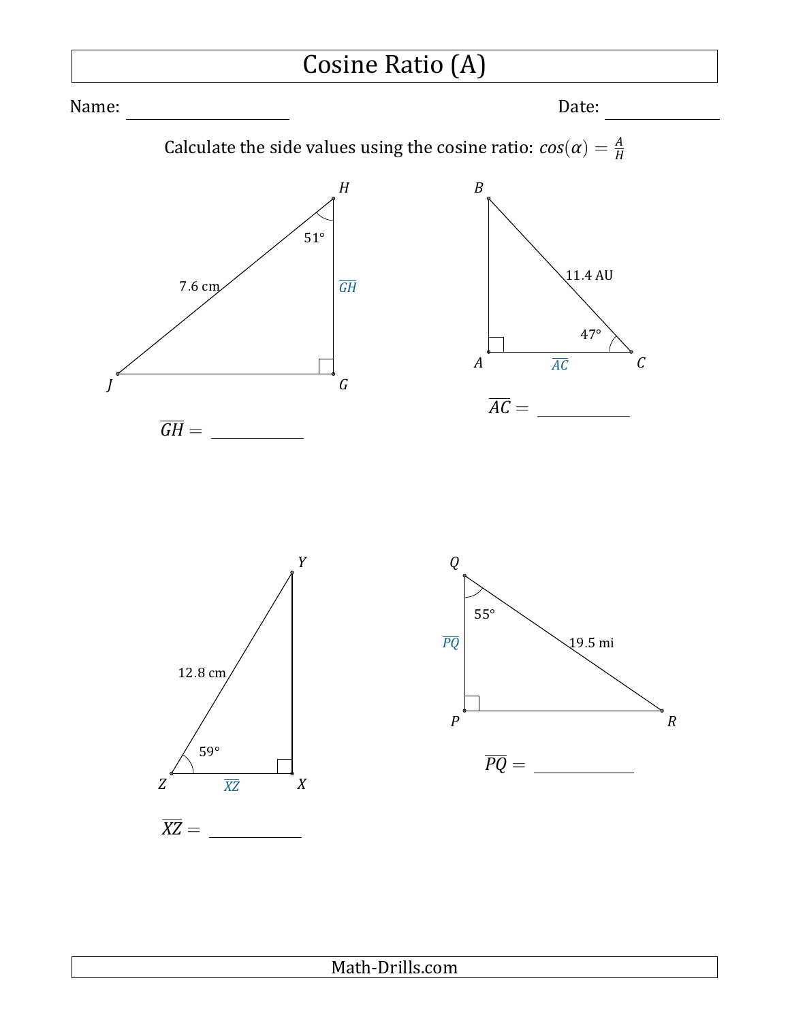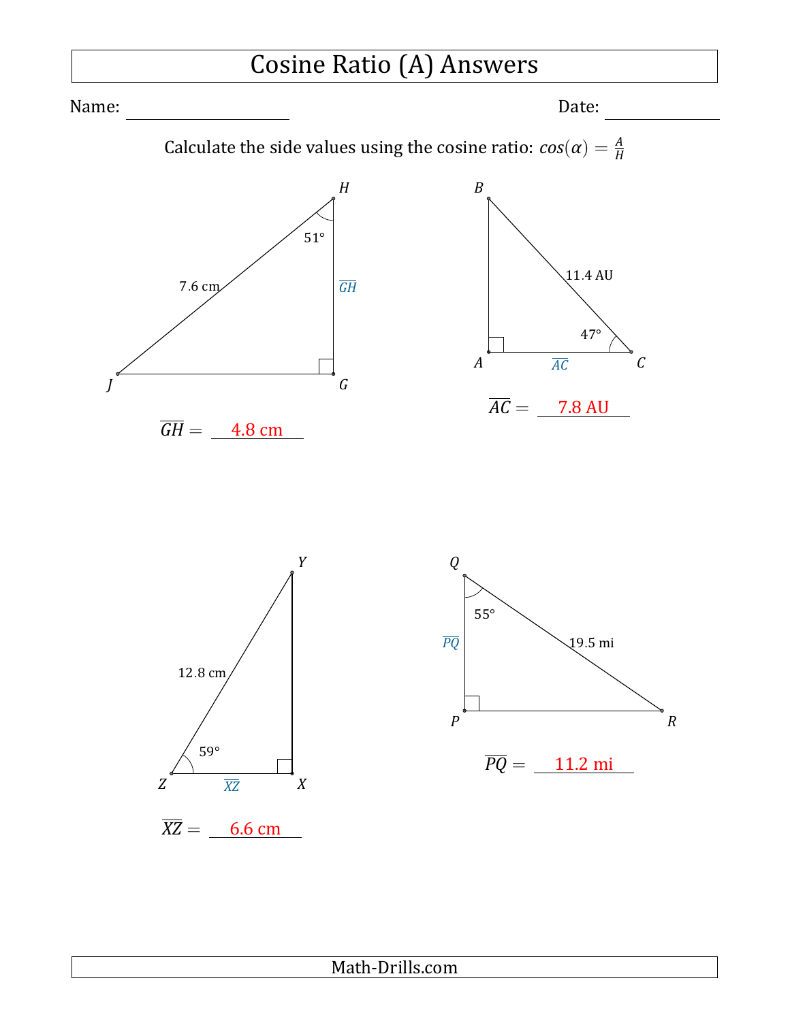# Cosine Ratio (A) Answers

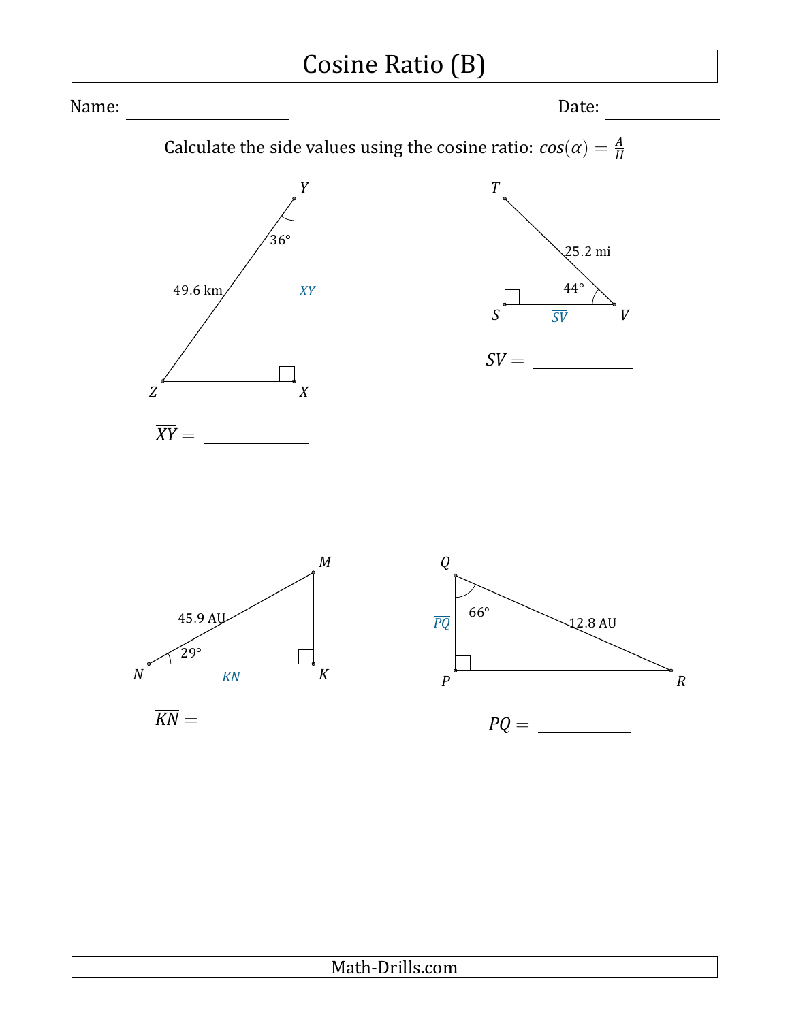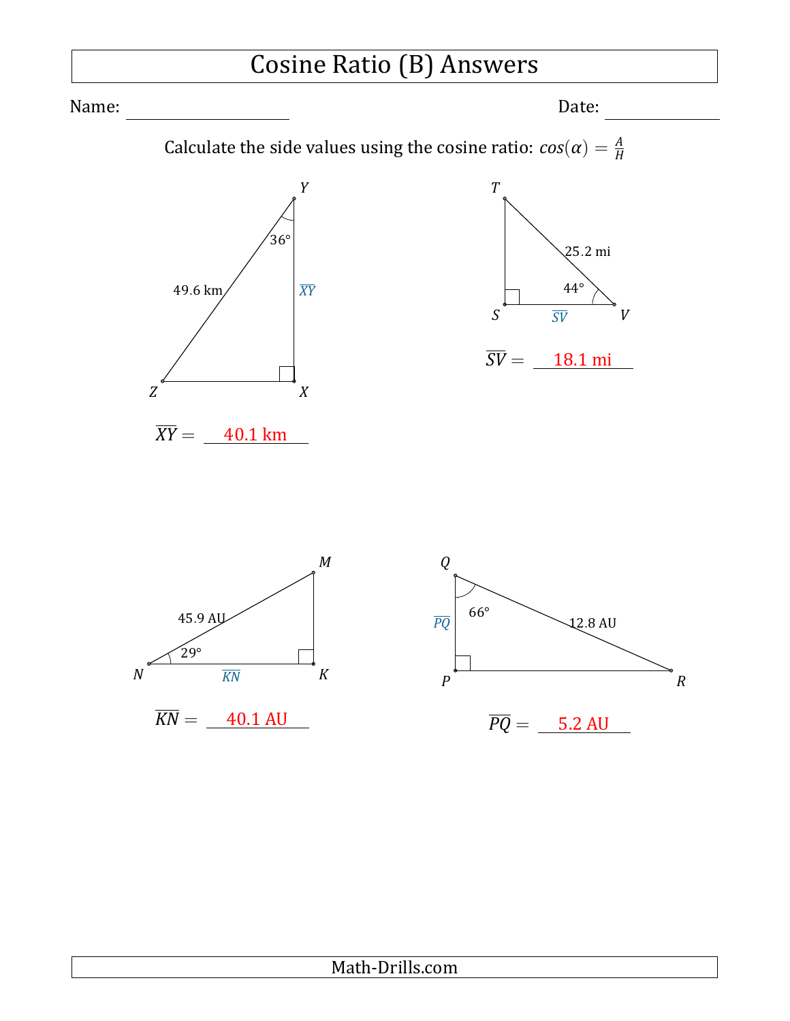# Cosine Ratio (B) Answers

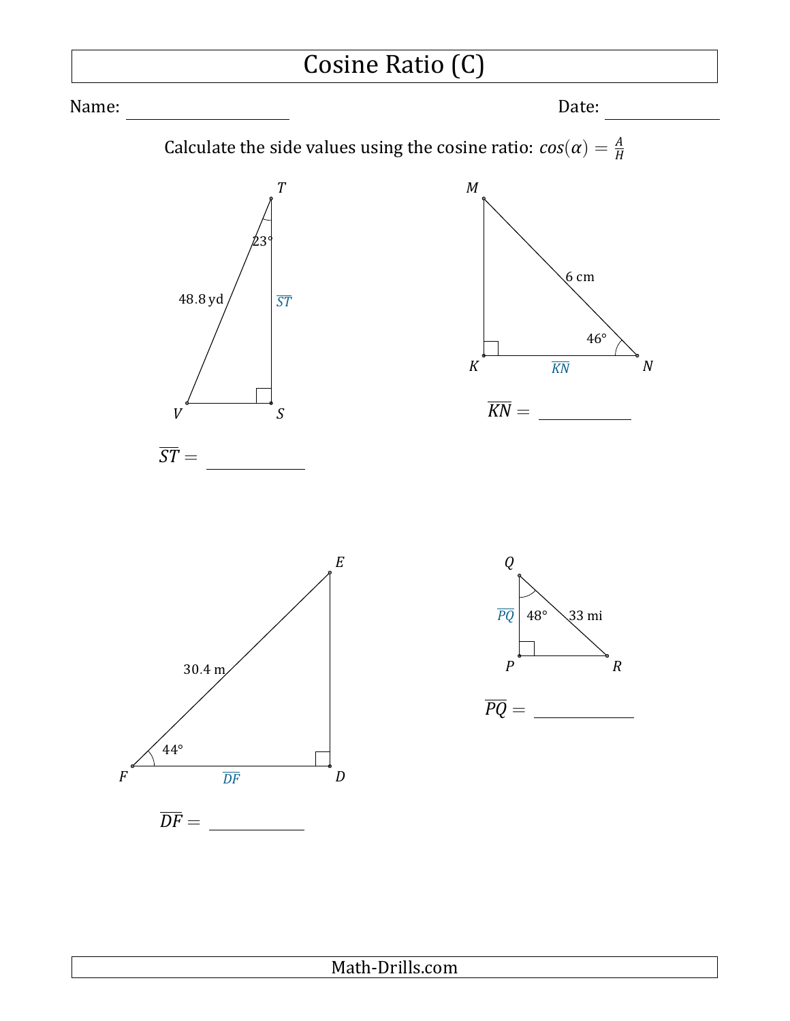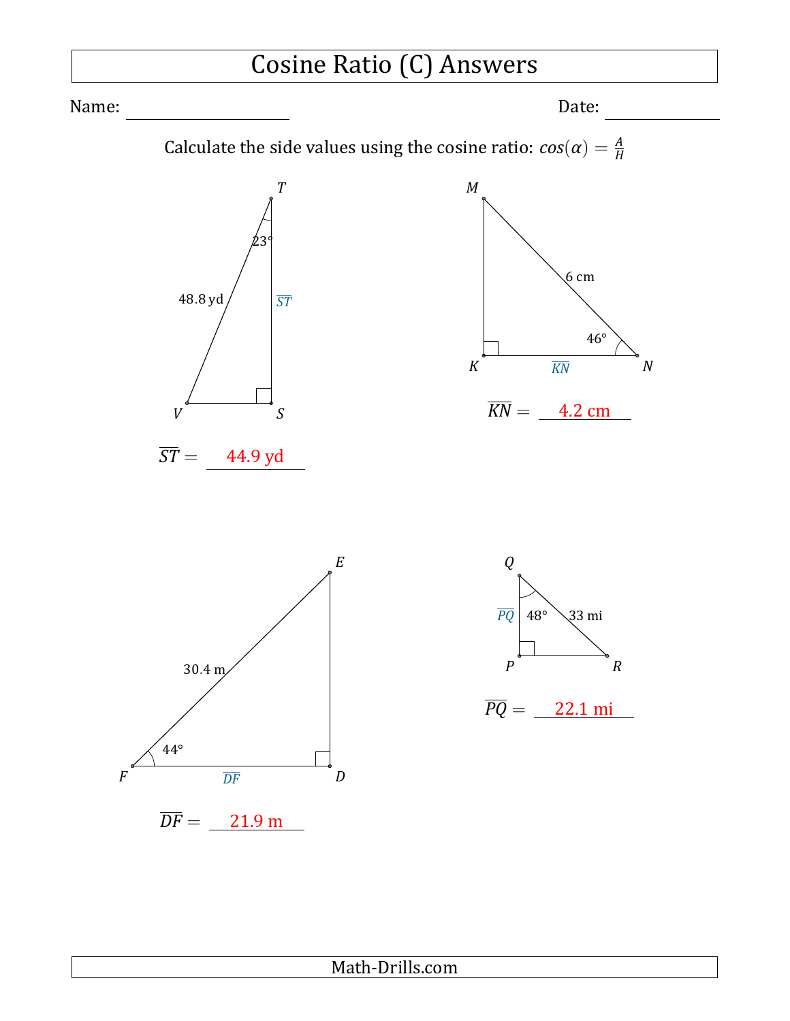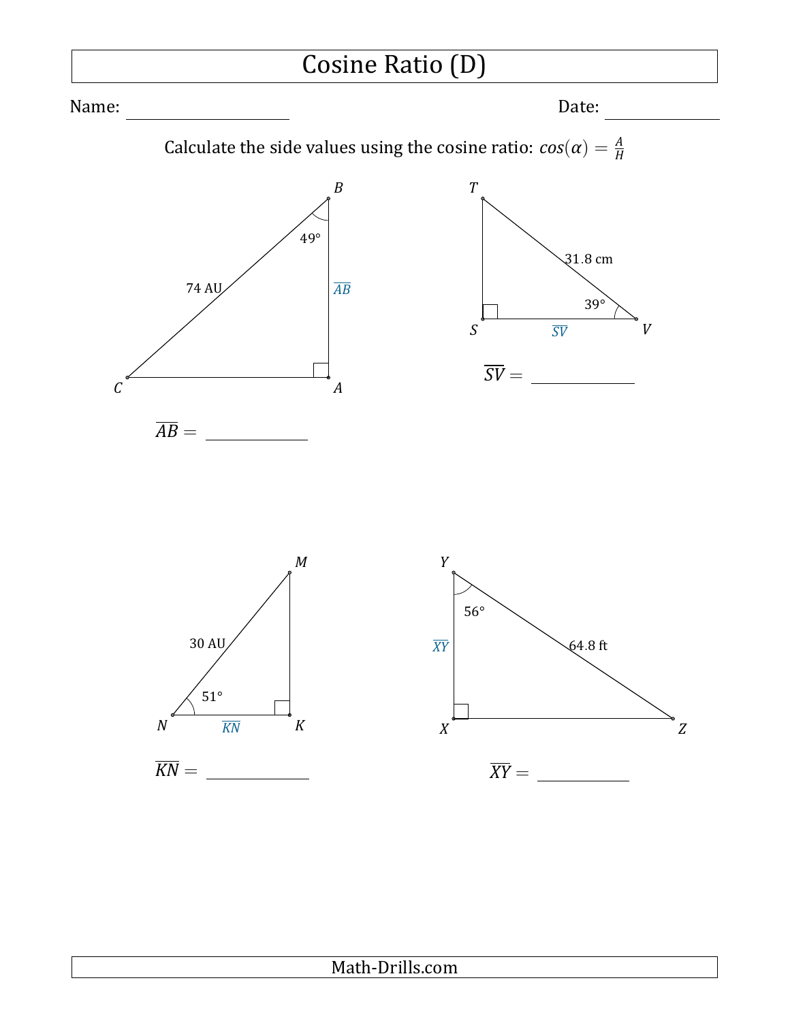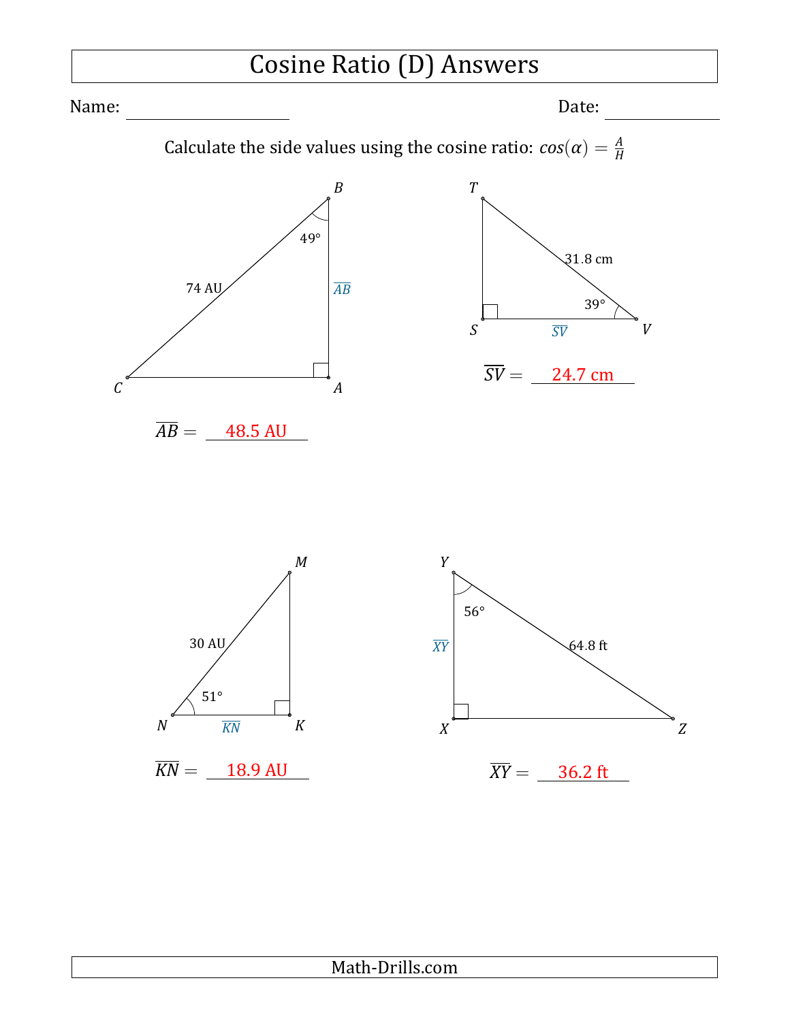## Cosine Ratio (D) Answers

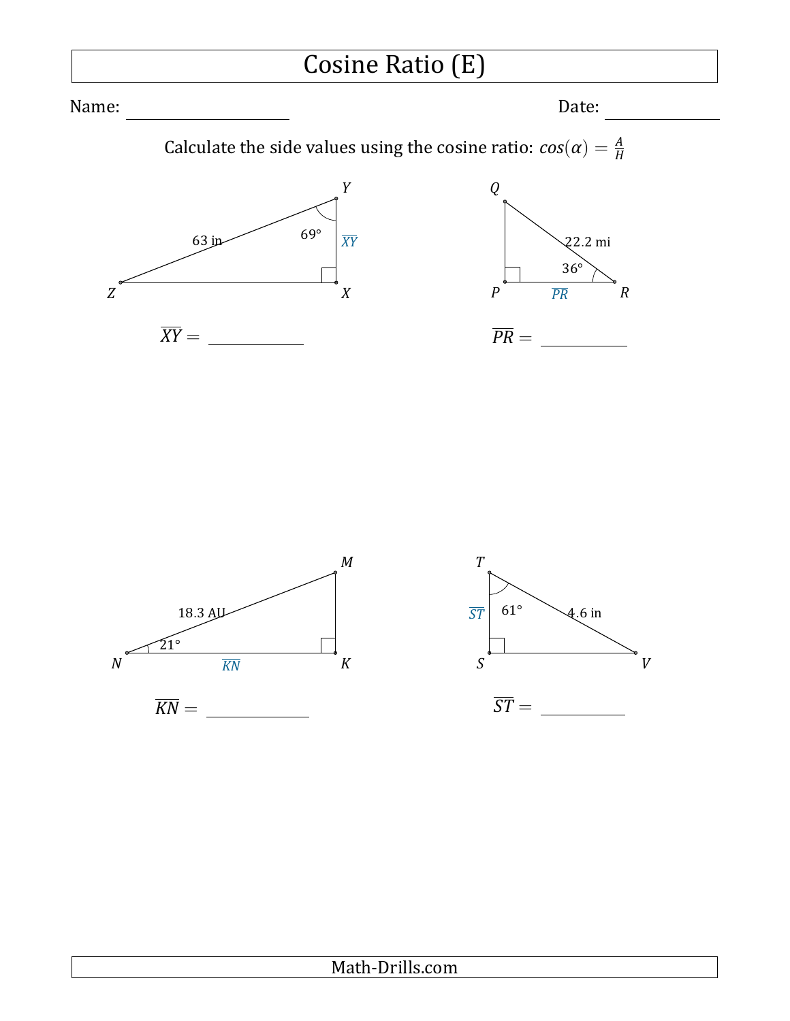# Cosine Ratio (E)

Name: Date:

Calculate the side values using the cosine ratio:  $cos(\alpha) = \frac{A}{H}$ 



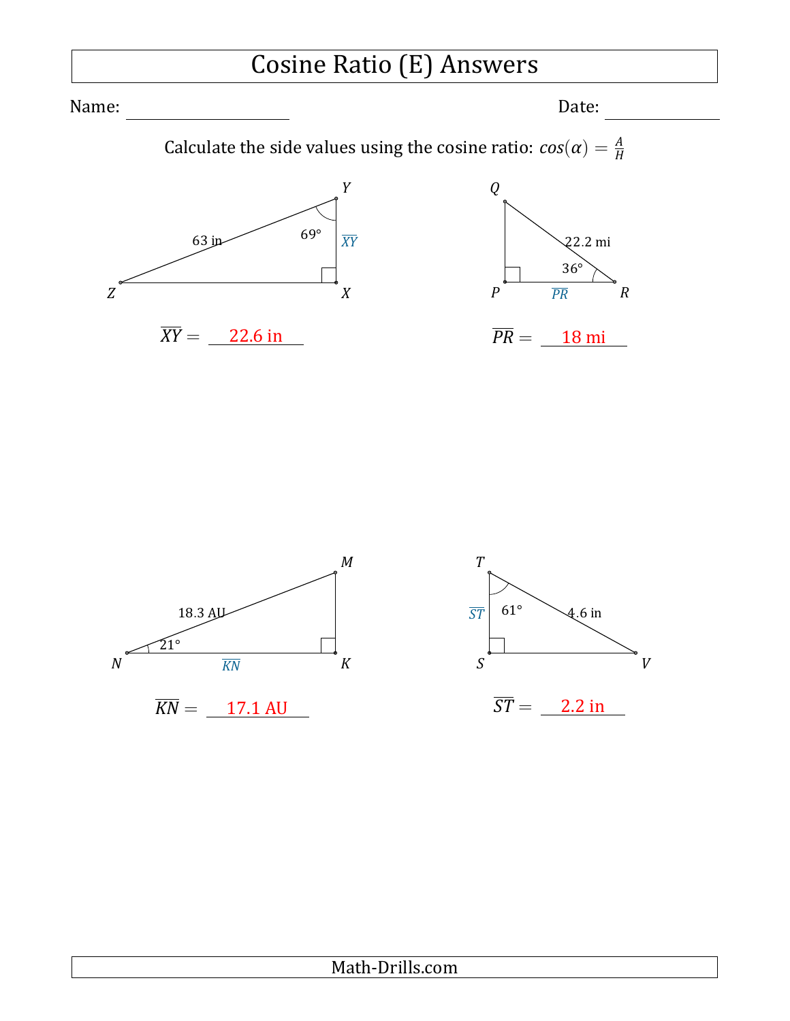## Cosine Ratio (E) Answers

Name: Date:

Calculate the side values using the cosine ratio:  $cos(\alpha) = \frac{A}{H}$ 



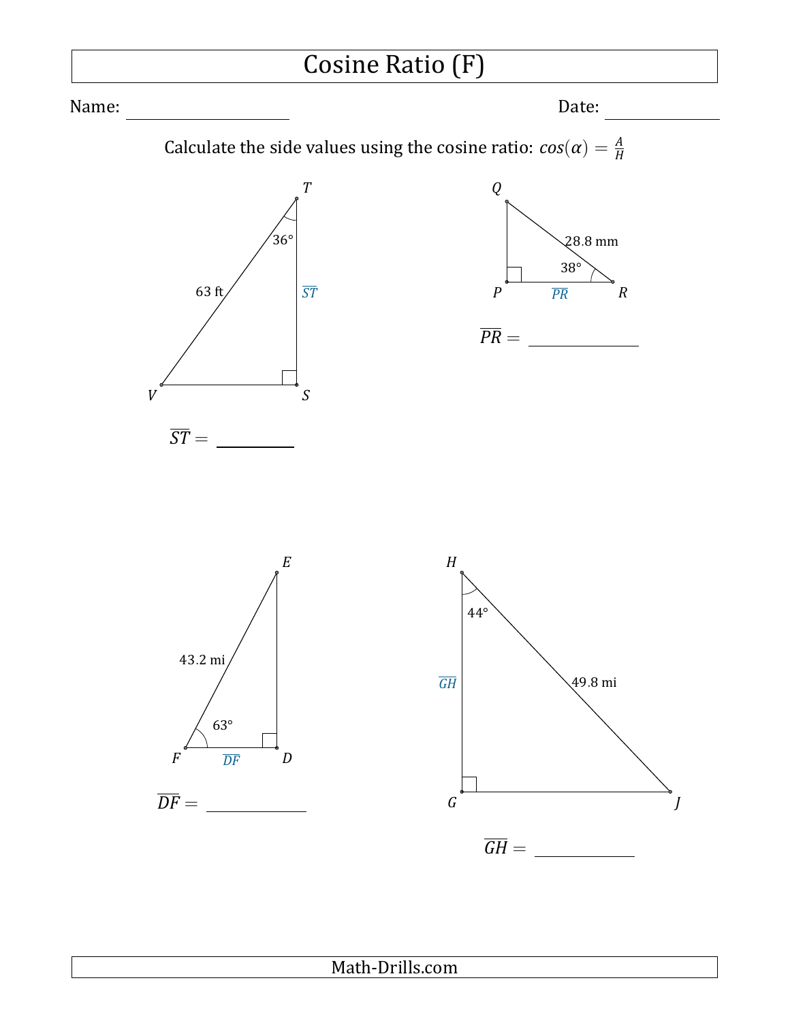

#### Math-Drills.com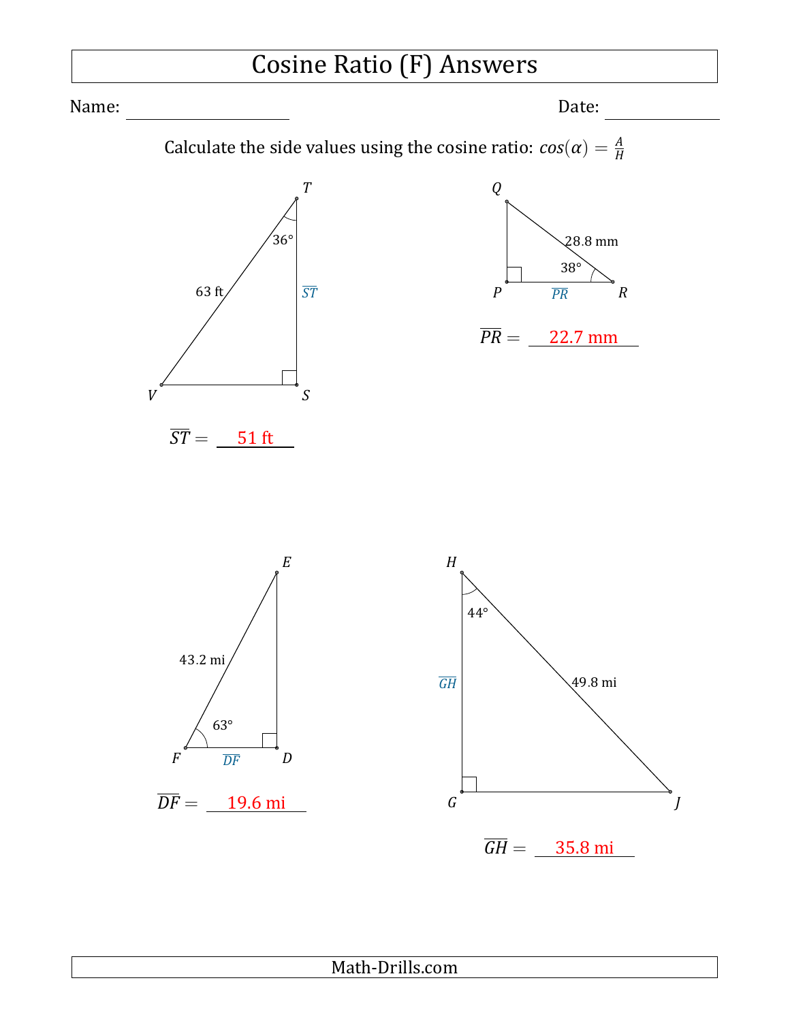### Cosine Ratio (F) Answers

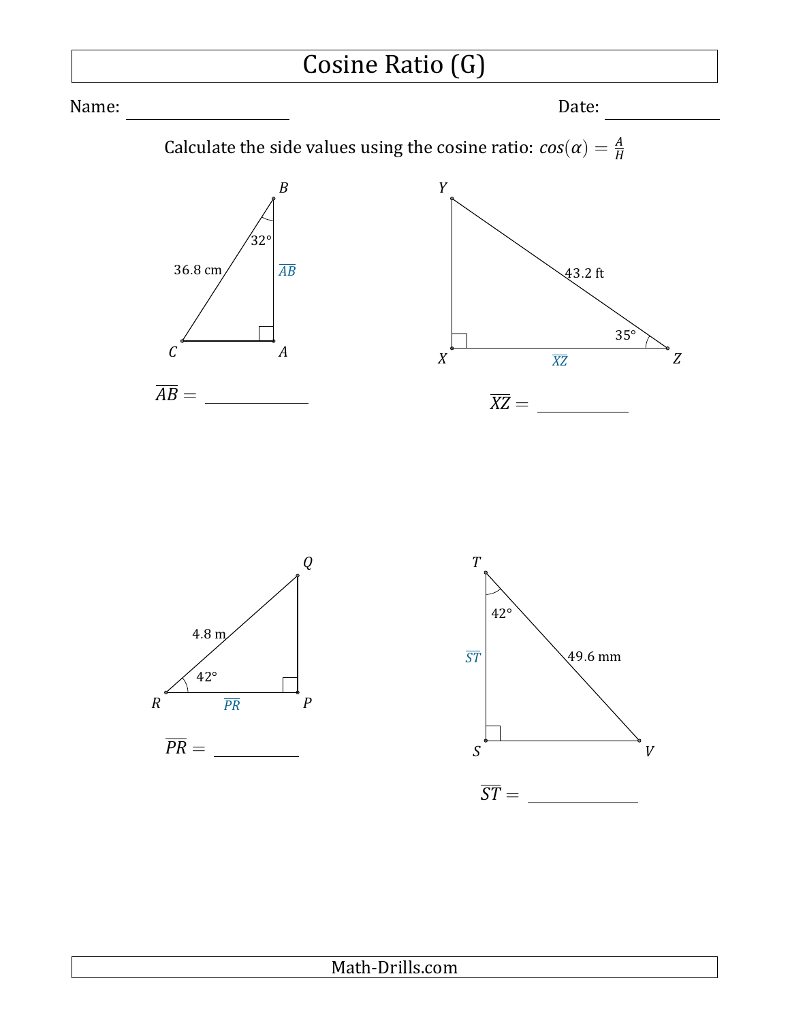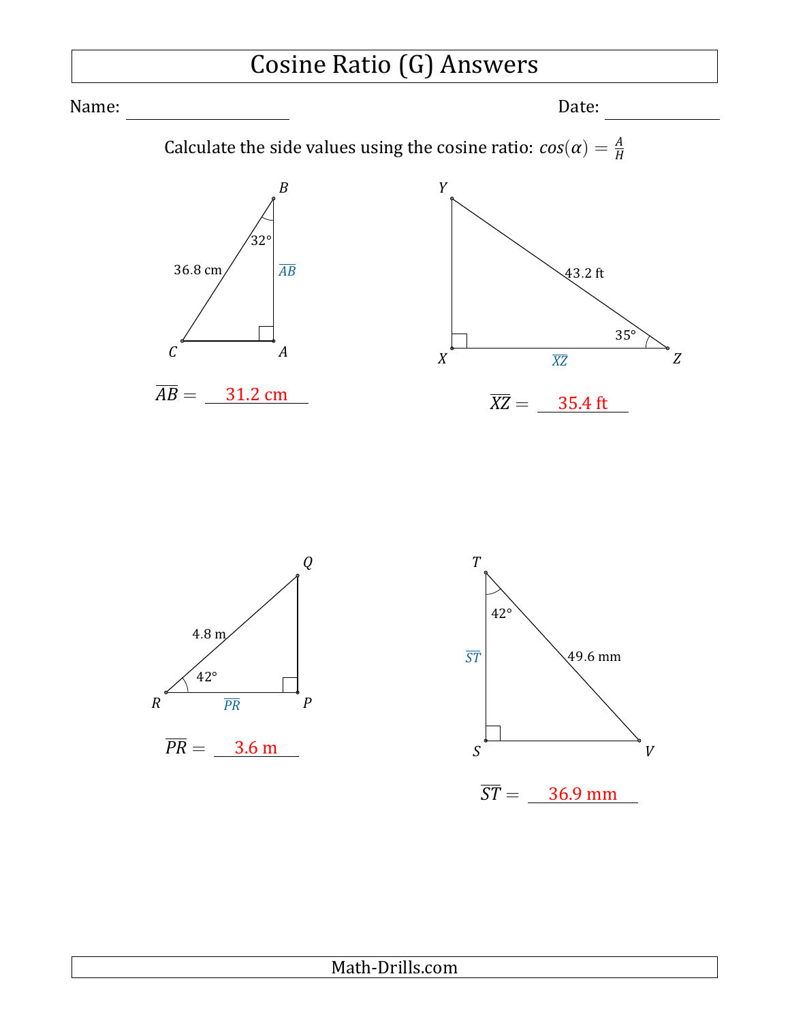# Cosine Ratio (G) Answers

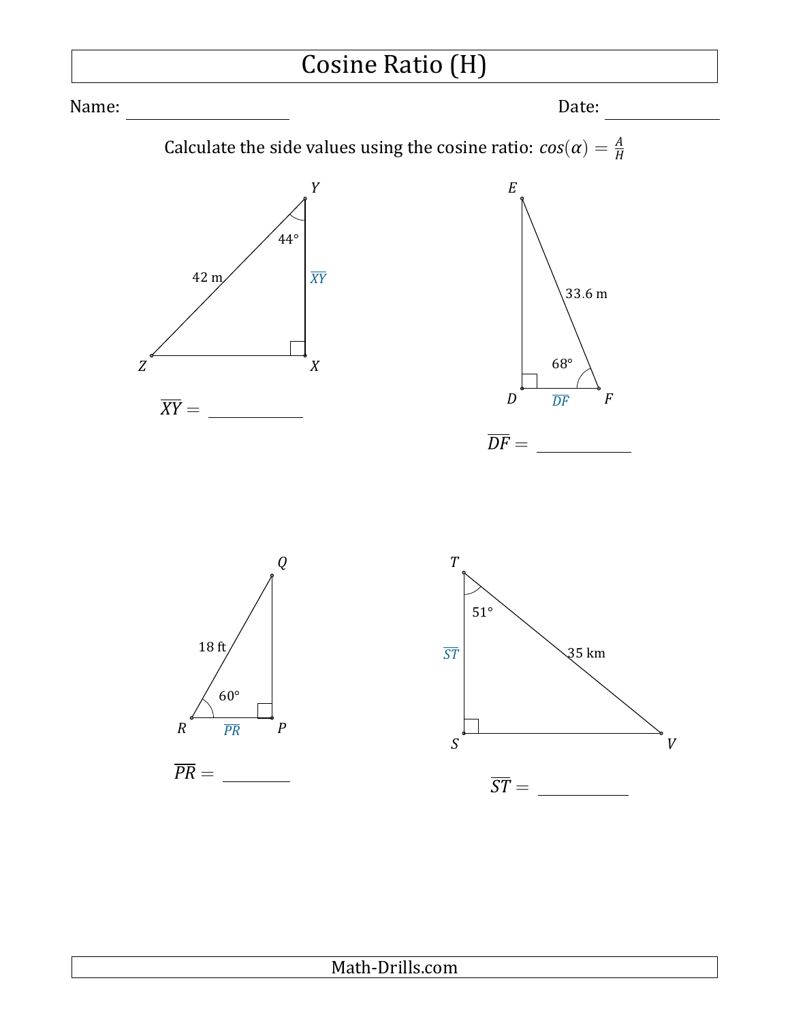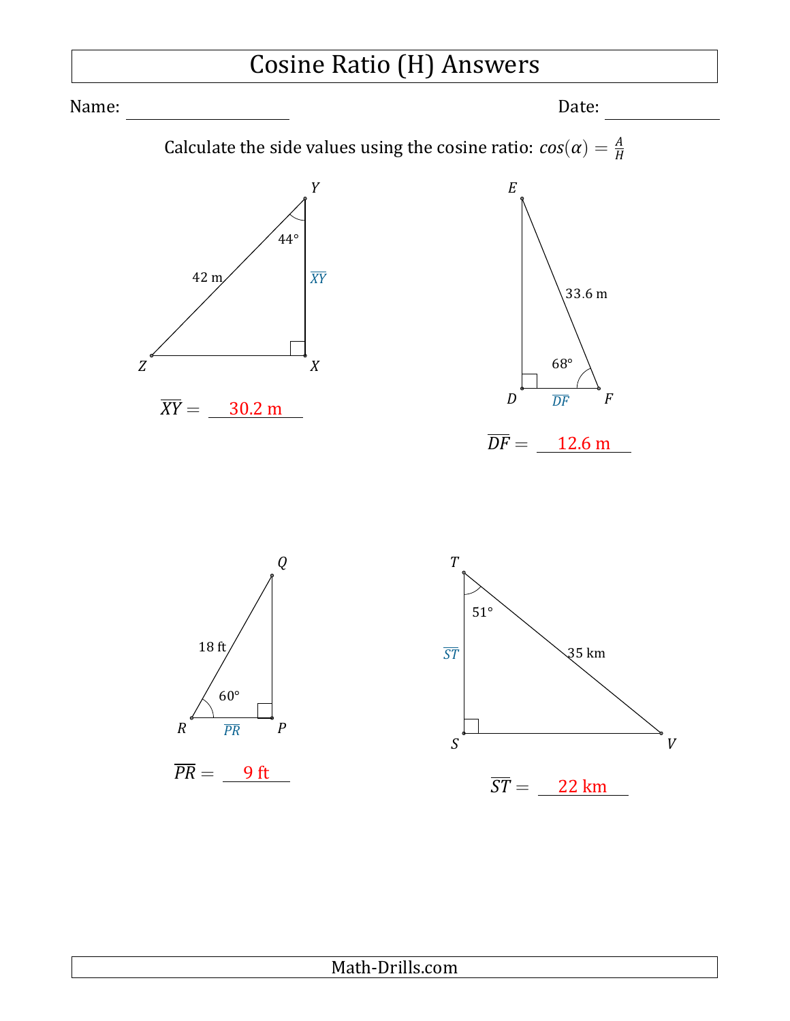# Cosine Ratio (H) Answers

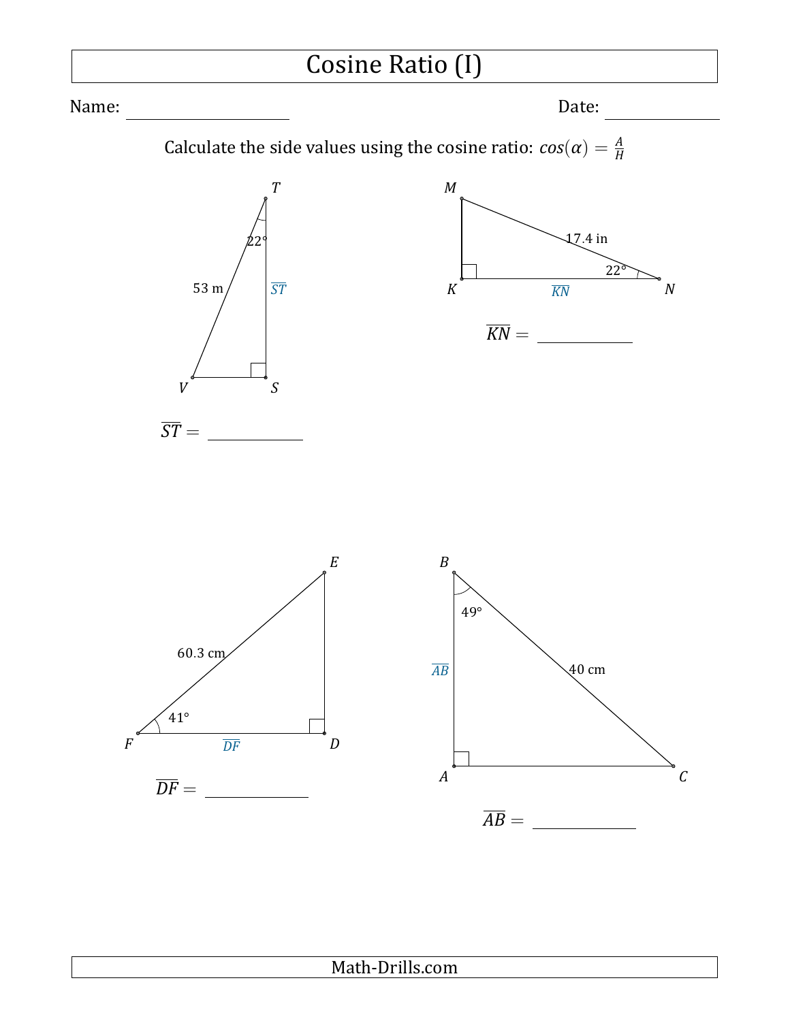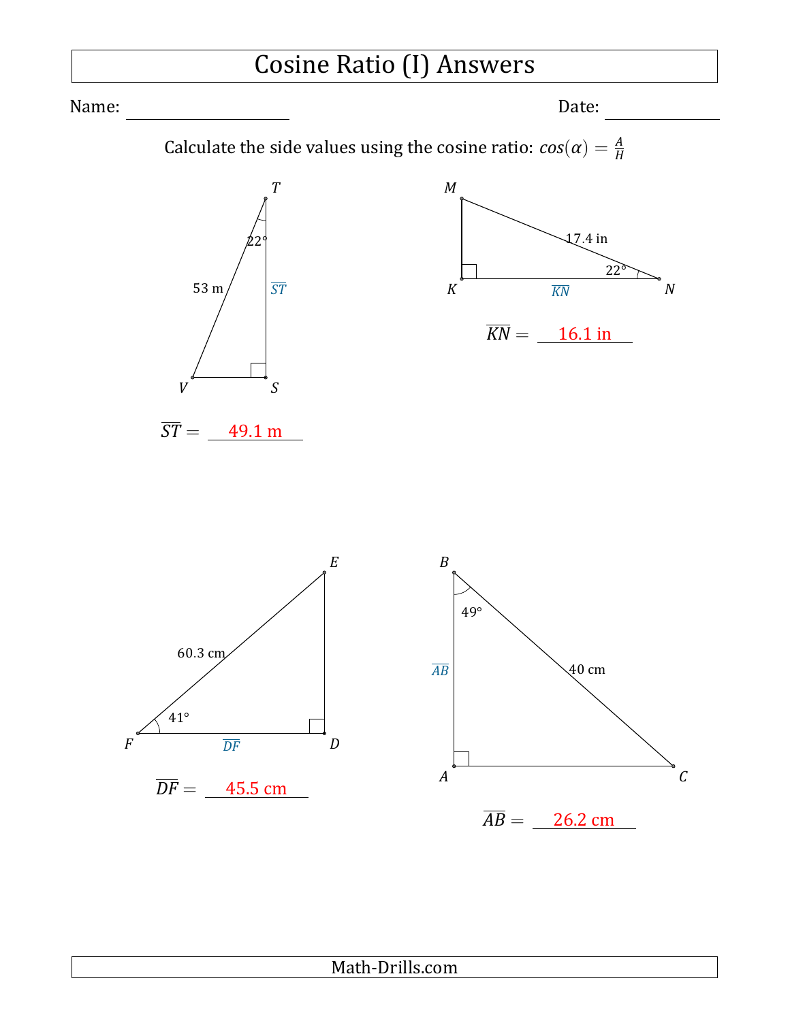# Cosine Ratio (I) Answers

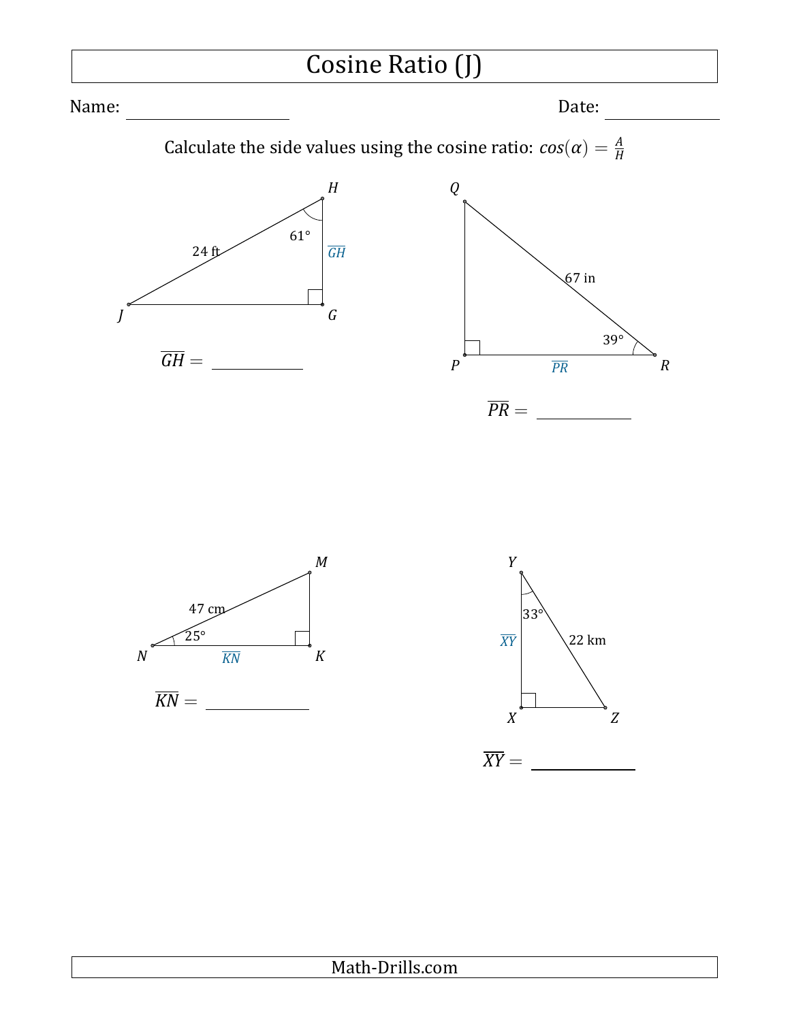![](_page_18_Figure_0.jpeg)